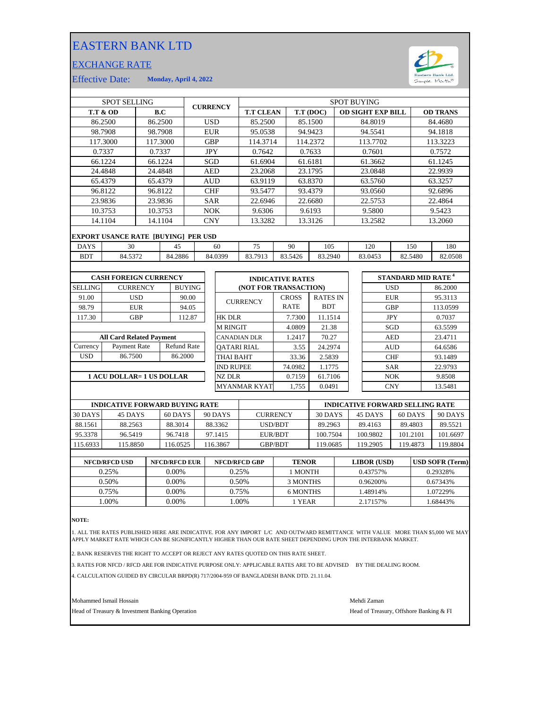## EASTERN BANK LTD

## EXCHANGE RATE



Effective Date: **Monday, April 4, 2022**

| <b>SPOT SELLING</b>                        |                           |                 |         |                    | <b>CURRENCY</b>     |                    | <b>SPOT BUYING</b>      |                       |         |              |                 |            |                                |            |            |                 |          |
|--------------------------------------------|---------------------------|-----------------|---------|--------------------|---------------------|--------------------|-------------------------|-----------------------|---------|--------------|-----------------|------------|--------------------------------|------------|------------|-----------------|----------|
| <b>T.T &amp; OD</b><br>B.C                 |                           |                 |         |                    |                     |                    | <b>T.T CLEAN</b>        |                       |         | T.T (DOC)    |                 |            | <b>OD SIGHT EXP BILL</b>       |            |            | <b>OD TRANS</b> |          |
|                                            | 86.2500<br>86.2500        |                 |         |                    | <b>USD</b>          |                    | 85.2500                 |                       |         | 85.1500      |                 | 84.8019    |                                |            |            | 84.4680         |          |
|                                            | 98.7908                   | 98.7908         |         |                    |                     |                    | <b>EUR</b>              | 95.0538               |         |              | 94.9423         |            |                                | 94.5541    |            |                 | 94.1818  |
|                                            | 117.3000                  | 117.3000        |         |                    |                     |                    | <b>GBP</b>              | 114.3714              |         |              | 114.2372        |            |                                | 113.7702   |            |                 | 113.3223 |
|                                            | 0.7337                    | 0.7337          |         |                    |                     |                    | <b>JPY</b>              | 0.7642                |         |              | 0.7633          |            |                                | 0.7601     |            |                 | 0.7572   |
|                                            | 66.1224                   | 66.1224         |         |                    |                     |                    | SGD                     | 61.6904               |         |              | 61.6181         |            |                                | 61.3662    |            |                 | 61.1245  |
|                                            | 24.4848                   | 24.4848         |         |                    |                     |                    | <b>AED</b>              | 23.2068               |         |              | 23.1795         |            |                                | 23.0848    |            |                 | 22.9939  |
|                                            | 65.4379                   | 65.4379         |         |                    | <b>AUD</b>          |                    |                         | 63.9119               |         | 63.8370      |                 |            | 63.5760                        |            |            |                 | 63.3257  |
|                                            | 96.8122                   | 96.8122         |         |                    | <b>CHF</b>          |                    |                         | 93.5477               |         | 93.4379      |                 |            | 93.0560                        |            |            | 92.6896         |          |
|                                            | 23.9836                   |                 | 23.9836 |                    | <b>SAR</b>          |                    | 22.6946                 |                       | 22.6680 |              | 22.5753         |            |                                | 22.4864    |            |                 |          |
|                                            | 10.3753                   | 10.3753         |         |                    |                     |                    | <b>NOK</b><br>9.6306    |                       |         | 9.6193       |                 |            | 9.5800                         |            | 9.5423     |                 |          |
| 14.1104                                    |                           |                 | 14.1104 |                    |                     | <b>CNY</b>         |                         | 13.3282               |         | 13.3126      |                 |            | 13.2582                        |            | 13.2060    |                 |          |
| <b>EXPORT USANCE RATE [BUYING] PER USD</b> |                           |                 |         |                    |                     |                    |                         |                       |         |              |                 |            |                                |            |            |                 |          |
| <b>DAYS</b>                                | 30                        | 45              |         |                    |                     |                    | 60                      | 75                    |         | 90           | 105             |            |                                | 120        | 150        |                 | 180      |
| <b>BDT</b>                                 | 84.5372                   |                 |         | 84.2886            |                     |                    | 84.0399                 | 83.7913               |         | 83.5426      | 83.2940         |            |                                | 83.0453    | 82.5480    |                 | 82.0508  |
|                                            |                           |                 |         |                    |                     |                    |                         |                       |         |              |                 |            |                                |            |            |                 |          |
| <b>CASH FOREIGN CURRENCY</b>               |                           |                 |         |                    |                     |                    | <b>INDICATIVE RATES</b> |                       |         |              |                 |            | STANDARD MID RATE <sup>4</sup> |            |            |                 |          |
| <b>SELLING</b>                             |                           | <b>CURRENCY</b> |         | <b>BUYING</b>      |                     |                    |                         | (NOT FOR TRANSACTION) |         |              |                 |            |                                |            | <b>USD</b> |                 | 86.2000  |
| 91.00                                      |                           | <b>USD</b>      |         | 90.00              |                     |                    |                         |                       |         | <b>CROSS</b> | <b>RATES IN</b> |            |                                |            | <b>EUR</b> |                 | 95.3113  |
| 98.79                                      |                           | <b>EUR</b>      |         | 94.05              |                     |                    |                         | <b>CURRENCY</b>       |         | <b>RATE</b>  | <b>BDT</b>      |            |                                |            | <b>GBP</b> |                 | 113.0599 |
| 117.30                                     | <b>GBP</b>                |                 | 112.87  |                    |                     | <b>HK DLR</b>      |                         |                       | 7.7300  | 11.1514      |                 |            | <b>JPY</b>                     |            | 0.7037     |                 |          |
|                                            |                           |                 |         |                    |                     |                    | <b>M RINGIT</b>         |                       |         | 4.0809       | 21.38           |            |                                | SGD        |            | 63.5599         |          |
| <b>All Card Related Payment</b>            |                           |                 |         |                    | <b>CANADIAN DLR</b> |                    |                         | 1.2417                |         | 70.27        |                 | <b>AED</b> |                                | 23.4711    |            |                 |          |
| Currency                                   | Payment Rate              |                 |         | <b>Refund Rate</b> |                     | <b>OATARI RIAL</b> |                         |                       |         | 3.55         | 24.2974         |            |                                | <b>AUD</b> |            |                 | 64.6586  |
| <b>USD</b>                                 | 86.7500                   |                 |         | 86.2000            |                     |                    | <b>THAI BAHT</b>        |                       |         | 33.36        | 2.5839          |            |                                |            | <b>CHF</b> |                 | 93.1489  |
|                                            |                           |                 |         |                    |                     |                    | <b>IND RUPEE</b>        |                       |         | 74.0982      | 1.1775          |            |                                |            | <b>SAR</b> |                 | 22.9793  |
|                                            | 1 ACU DOLLAR= 1 US DOLLAR |                 |         |                    |                     |                    | <b>NZ DLR</b>           |                       |         | 0.7159       | 61.7106         |            |                                |            | <b>NOK</b> |                 | 9.8508   |
|                                            |                           |                 |         |                    |                     |                    |                         | <b>MYANMAR KYAT</b>   |         | 1,755        | 0.0491          |            |                                |            | <b>CNY</b> |                 | 13.5481  |
|                                            |                           |                 |         |                    |                     |                    |                         |                       |         |              |                 |            |                                |            |            |                 |          |

|          | <b>INDICATIVE FORWARD BUYING RATE</b> |         |          |                 | <b>INDICATIVE FORWARD SELLING RATE</b> |          |          |          |  |
|----------|---------------------------------------|---------|----------|-----------------|----------------------------------------|----------|----------|----------|--|
| 30 DAYS  | 45 DAYS                               | 60 DAYS | 90 DAYS  | <b>CURRENCY</b> | 30 DAYS                                | 45 DAYS  | 60 DAYS  | 90 DAYS  |  |
| 88.1561  | 88.2563                               | 88.3014 | 88.3362  | USD/BDT         | 89.2963                                | 89.4163  | 89.4803  | 89.5521  |  |
| 95.3378  | 96.5419                               | 96.7418 | 97.1415  | EUR/BDT         | 100.7504                               | 100.9802 | 101.2101 | 101.6697 |  |
| 115.6933 | 115.8850                              | 16.0525 | 116.3867 | <b>GBP/BDT</b>  | 19.0685                                | 119.2905 | 119.4873 | 119.8804 |  |
|          |                                       |         |          |                 |                                        |          |          |          |  |

| <b>NFCD/RFCD USD</b> | <b>NFCD/RFCD EUR</b> | <b>NFCD/RFCD GBP</b> | <b>TENOR</b> | LIBOR (USD) | <b>USD SOFR (Term)</b> |
|----------------------|----------------------|----------------------|--------------|-------------|------------------------|
| 0.25%                | $0.00\%$             | 0.25%                | I MONTH      | 0.43757%    | 0.29328%               |
| 0.50%                | 0.00%                | 0.50%                | 3 MONTHS     | 0.96200\%   | 0.67343%               |
| 0.75%                | 0.00%                | 0.75%                | 6 MONTHS     | .48914%     | 1.07229%               |
| .00%                 | 0.00%                | .00%                 | 1 YEAR       | 2.17157%    | 1.68443%               |
|                      |                      |                      |              |             |                        |

**NOTE:**

1. ALL THE RATES PUBLISHED HERE ARE INDICATIVE. FOR ANY IMPORT L/C AND OUTWARD REMITTANCE WITH VALUE MORE THAN \$5,000 WE MAY<br>APPLY MARKET RATE WHICH CAN BE SIGNIFICANTLY HIGHER THAN OUR RATE SHEET DEPENDING UPON THE IN

2. BANK RESERVES THE RIGHT TO ACCEPT OR REJECT ANY RATES QUOTED ON THIS RATE SHEET.

3. RATES FOR NFCD / RFCD ARE FOR INDICATIVE PURPOSE ONLY: APPLICABLE RATES ARE TO BE ADVISED BY THE DEALING ROOM.

4. CALCULATION GUIDED BY CIRCULAR BRPD(R) 717/2004-959 OF BANGLADESH BANK DTD. 21.11.04.

Mohammed Ismail Hossain Mehdi Zaman

Head of Treasury & Investment Banking Operation **Head of Treasury, Offshore Banking & FI**